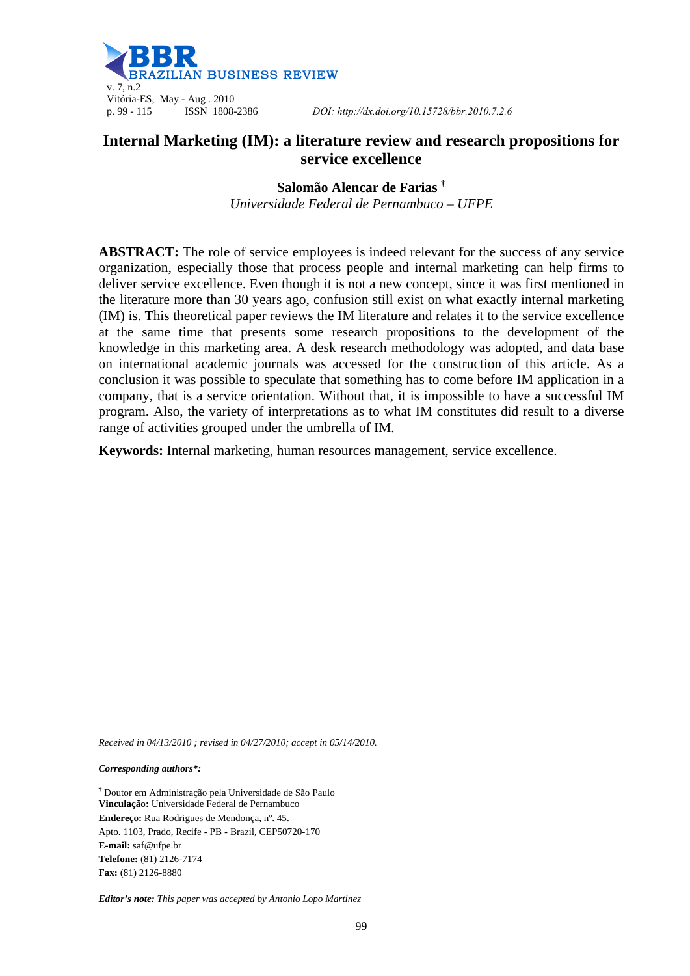

# **Internal Marketing (IM): a literature review and research propositions for service excellence**

**Salomão Alencar de Farias †** *Universidade Federal de Pernambuco – UFPE* 

**ABSTRACT:** The role of service employees is indeed relevant for the success of any service organization, especially those that process people and internal marketing can help firms to deliver service excellence. Even though it is not a new concept, since it was first mentioned in the literature more than 30 years ago, confusion still exist on what exactly internal marketing (IM) is. This theoretical paper reviews the IM literature and relates it to the service excellence at the same time that presents some research propositions to the development of the knowledge in this marketing area. A desk research methodology was adopted, and data base on international academic journals was accessed for the construction of this article. As a conclusion it was possible to speculate that something has to come before IM application in a company, that is a service orientation. Without that, it is impossible to have a successful IM program. Also, the variety of interpretations as to what IM constitutes did result to a diverse range of activities grouped under the umbrella of IM.

**Keywords:** Internal marketing, human resources management, service excellence.

*Received in 04/13/2010 ; revised in 04/27/2010; accept in 05/14/2010.*

*Corresponding authors\*:* 

**†** Doutor em Administração pela Universidade de São Paulo **Vinculação:** Universidade Federal de Pernambuco **Endereço:** Rua Rodrigues de Mendonça, nº. 45. Apto. 1103, Prado, Recife - PB - Brazil, CEP50720-170 **E-mail:** saf@ufpe.br **Telefone:** (81) 2126-7174 **Fax:** (81) 2126-8880

*Editor's note: This paper was accepted by Antonio Lopo Martinez*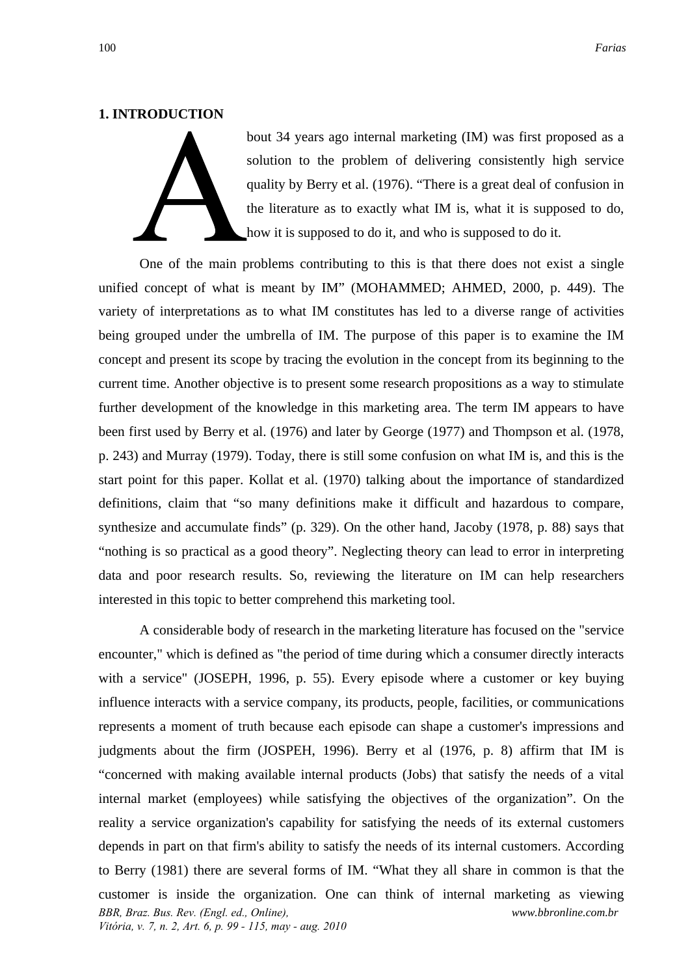### **1. INTRODUCTION**

bout 34 years ago internal marketing (IM) was first proposed as a solution to the problem of delivering consistently high service quality by Berry et al. (1976). "There is a great deal of confusion in the literature as to exactly what IM is, what it is supposed to do, how it is supposed to do it, and who is supposed to do it.

One of the main problems contributing to this is that there does not exist a single unified concept of what is meant by IM" (MOHAMMED; AHMED, 2000, p. 449). The variety of interpretations as to what IM constitutes has led to a diverse range of activities being grouped under the umbrella of IM. The purpose of this paper is to examine the IM concept and present its scope by tracing the evolution in the concept from its beginning to the current time. Another objective is to present some research propositions as a way to stimulate further development of the knowledge in this marketing area. The term IM appears to have been first used by Berry et al. (1976) and later by George (1977) and Thompson et al. (1978, p. 243) and Murray (1979). Today, there is still some confusion on what IM is, and this is the start point for this paper. Kollat et al. (1970) talking about the importance of standardized definitions, claim that "so many definitions make it difficult and hazardous to compare, synthesize and accumulate finds" (p. 329). On the other hand, Jacoby (1978, p. 88) says that "nothing is so practical as a good theory". Neglecting theory can lead to error in interpreting data and poor research results. So, reviewing the literature on IM can help researchers interested in this topic to better comprehend this marketing tool.

*BBR, Braz. Bus. Rev. (Engl. ed., Online), Vitória, v. 7, n. 2, Art. 6, p. 99 - 115, may - aug. 2010 www.bbronline.com.br*  A considerable body of research in the marketing literature has focused on the "service encounter," which is defined as "the period of time during which a consumer directly interacts with a service" (JOSEPH, 1996, p. 55). Every episode where a customer or key buying influence interacts with a service company, its products, people, facilities, or communications represents a moment of truth because each episode can shape a customer's impressions and judgments about the firm (JOSPEH, 1996). Berry et al (1976, p. 8) affirm that IM is "concerned with making available internal products (Jobs) that satisfy the needs of a vital internal market (employees) while satisfying the objectives of the organization". On the reality a service organization's capability for satisfying the needs of its external customers depends in part on that firm's ability to satisfy the needs of its internal customers. According to Berry (1981) there are several forms of IM. "What they all share in common is that the customer is inside the organization. One can think of internal marketing as viewing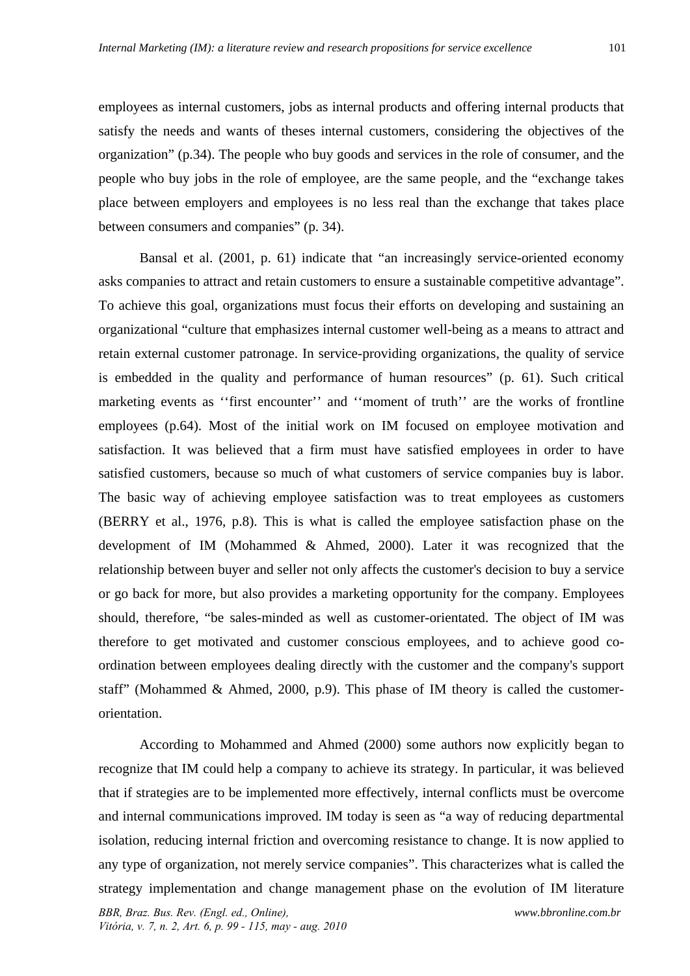satisfy the needs and wants of theses internal customers, considering the objectives of the organization" (p.34). The people who buy goods and services in the role of consumer, and the people who buy jobs in the role of employee, are the same people, and the "exchange takes place between employers and employees is no less real than the exchange that takes place between consumers and companies" (p. 34).

Bansal et al. (2001, p. 61) indicate that "an increasingly service-oriented economy asks companies to attract and retain customers to ensure a sustainable competitive advantage". To achieve this goal, organizations must focus their efforts on developing and sustaining an organizational "culture that emphasizes internal customer well-being as a means to attract and retain external customer patronage. In service-providing organizations, the quality of service is embedded in the quality and performance of human resources" (p. 61). Such critical marketing events as ''first encounter'' and ''moment of truth'' are the works of frontline employees (p.64). Most of the initial work on IM focused on employee motivation and satisfaction. It was believed that a firm must have satisfied employees in order to have satisfied customers, because so much of what customers of service companies buy is labor. The basic way of achieving employee satisfaction was to treat employees as customers (BERRY et al., 1976, p.8). This is what is called the employee satisfaction phase on the development of IM (Mohammed & Ahmed, 2000). Later it was recognized that the relationship between buyer and seller not only affects the customer's decision to buy a service or go back for more, but also provides a marketing opportunity for the company. Employees should, therefore, "be sales-minded as well as customer-orientated. The object of IM was therefore to get motivated and customer conscious employees, and to achieve good coordination between employees dealing directly with the customer and the company's support staff" (Mohammed & Ahmed, 2000, p.9). This phase of IM theory is called the customerorientation.

According to Mohammed and Ahmed (2000) some authors now explicitly began to recognize that IM could help a company to achieve its strategy. In particular, it was believed that if strategies are to be implemented more effectively, internal conflicts must be overcome and internal communications improved. IM today is seen as "a way of reducing departmental isolation, reducing internal friction and overcoming resistance to change. It is now applied to any type of organization, not merely service companies". This characterizes what is called the strategy implementation and change management phase on the evolution of IM literature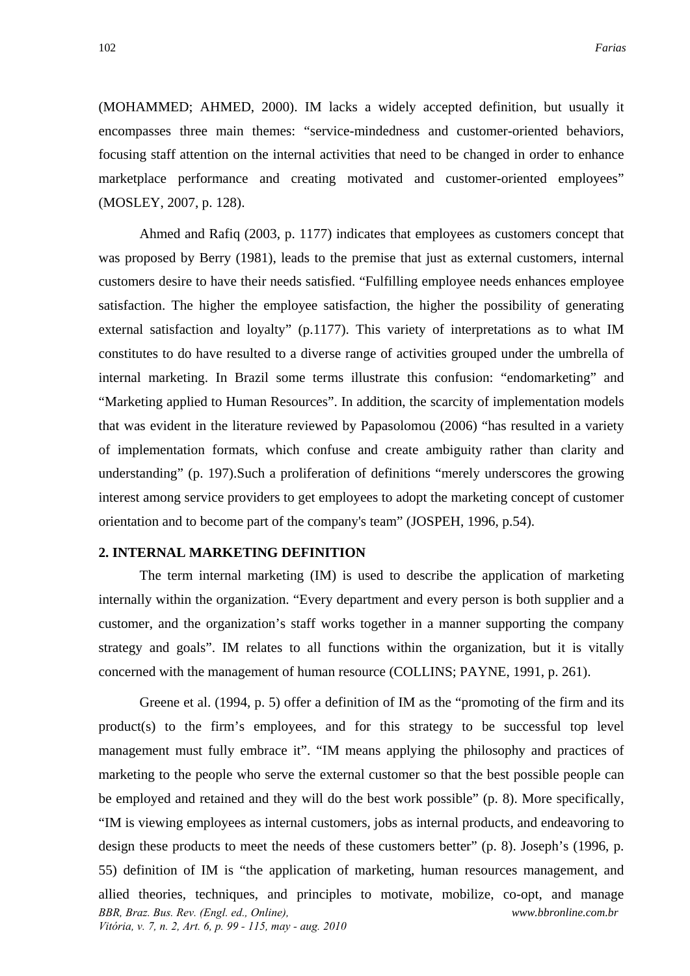(MOHAMMED; AHMED, 2000). IM lacks a widely accepted definition, but usually it encompasses three main themes: "service-mindedness and customer-oriented behaviors, focusing staff attention on the internal activities that need to be changed in order to enhance marketplace performance and creating motivated and customer-oriented employees" (MOSLEY, 2007, p. 128).

Ahmed and Rafiq (2003, p. 1177) indicates that employees as customers concept that was proposed by Berry (1981), leads to the premise that just as external customers, internal customers desire to have their needs satisfied. "Fulfilling employee needs enhances employee satisfaction. The higher the employee satisfaction, the higher the possibility of generating external satisfaction and loyalty" (p.1177). This variety of interpretations as to what IM constitutes to do have resulted to a diverse range of activities grouped under the umbrella of internal marketing. In Brazil some terms illustrate this confusion: "endomarketing" and "Marketing applied to Human Resources". In addition, the scarcity of implementation models that was evident in the literature reviewed by Papasolomou (2006) "has resulted in a variety of implementation formats, which confuse and create ambiguity rather than clarity and understanding" (p. 197).Such a proliferation of definitions "merely underscores the growing interest among service providers to get employees to adopt the marketing concept of customer orientation and to become part of the company's team" (JOSPEH, 1996, p.54).

# **2. INTERNAL MARKETING DEFINITION**

The term internal marketing (IM) is used to describe the application of marketing internally within the organization. "Every department and every person is both supplier and a customer, and the organization's staff works together in a manner supporting the company strategy and goals". IM relates to all functions within the organization, but it is vitally concerned with the management of human resource (COLLINS; PAYNE, 1991, p. 261).

*BBR, Braz. Bus. Rev. (Engl. ed., Online), Vitória, v. 7, n. 2, Art. 6, p. 99 - 115, may - aug. 2010 www.bbronline.com.br*  Greene et al. (1994, p. 5) offer a definition of IM as the "promoting of the firm and its product(s) to the firm's employees, and for this strategy to be successful top level management must fully embrace it". "IM means applying the philosophy and practices of marketing to the people who serve the external customer so that the best possible people can be employed and retained and they will do the best work possible" (p. 8). More specifically, "IM is viewing employees as internal customers, jobs as internal products, and endeavoring to design these products to meet the needs of these customers better" (p. 8). Joseph's (1996, p. 55) definition of IM is "the application of marketing, human resources management, and allied theories, techniques, and principles to motivate, mobilize, co-opt, and manage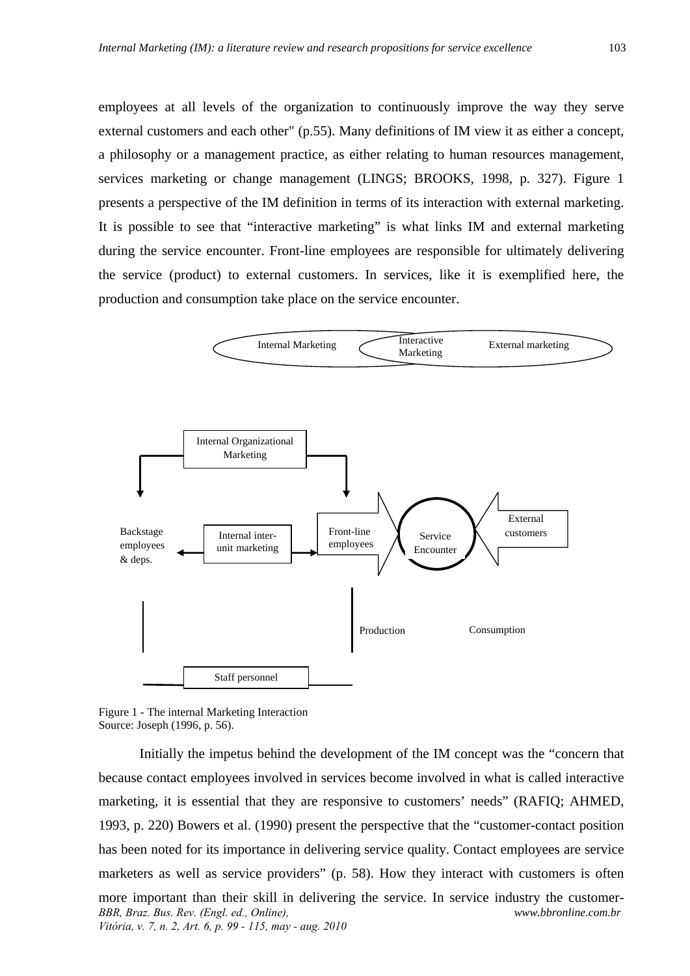employees at all levels of the organization to continuously improve the way they serve external customers and each other" (p.55). Many definitions of IM view it as either a concept, a philosophy or a management practice, as either relating to human resources management, services marketing or change management (LINGS; BROOKS, 1998, p. 327). Figure 1 presents a perspective of the IM definition in terms of its interaction with external marketing. It is possible to see that "interactive marketing" is what links IM and external marketing during the service encounter. Front-line employees are responsible for ultimately delivering the service (product) to external customers. In services, like it is exemplified here, the production and consumption take place on the service encounter.



Figure 1 - The internal Marketing Interaction Source: Joseph (1996, p. 56).

*BBR, Braz. Bus. Rev. (Engl. ed., Online), Vitória, v. 7, n. 2, Art. 6, p. 99 - 115, may - aug. 2010 www.bbronline.com.br*  Initially the impetus behind the development of the IM concept was the "concern that because contact employees involved in services become involved in what is called interactive marketing, it is essential that they are responsive to customers' needs" (RAFIQ; AHMED, 1993, p. 220) Bowers et al. (1990) present the perspective that the "customer-contact position has been noted for its importance in delivering service quality. Contact employees are service marketers as well as service providers" (p. 58). How they interact with customers is often more important than their skill in delivering the service. In service industry the customer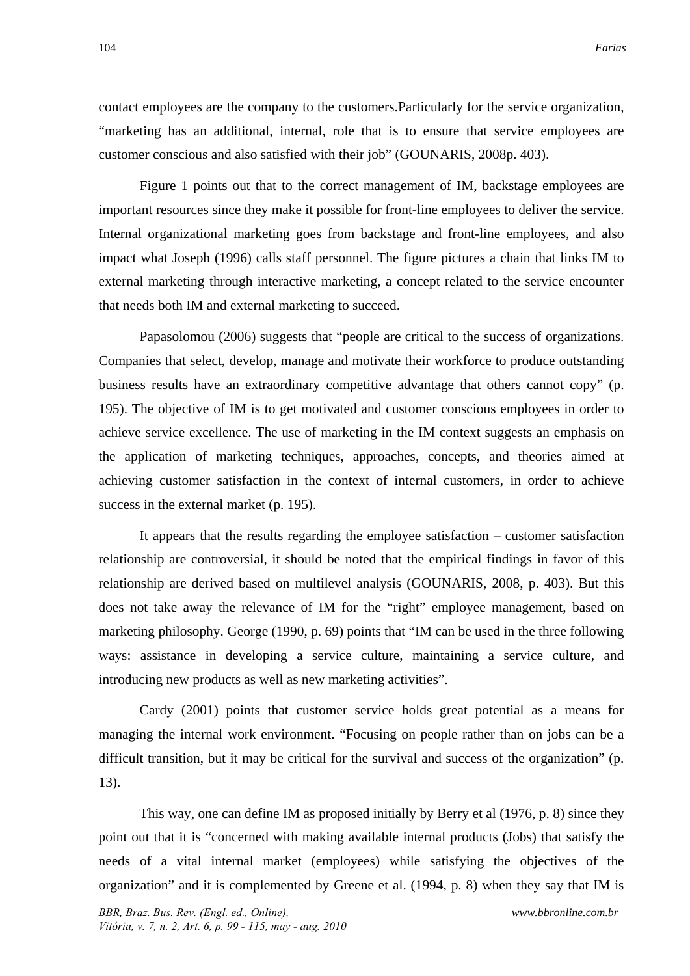contact employees are the company to the customers.Particularly for the service organization, "marketing has an additional, internal, role that is to ensure that service employees are customer conscious and also satisfied with their job" (GOUNARIS, 2008p. 403).

Figure 1 points out that to the correct management of IM, backstage employees are important resources since they make it possible for front-line employees to deliver the service. Internal organizational marketing goes from backstage and front-line employees, and also impact what Joseph (1996) calls staff personnel. The figure pictures a chain that links IM to external marketing through interactive marketing, a concept related to the service encounter that needs both IM and external marketing to succeed.

Papasolomou (2006) suggests that "people are critical to the success of organizations. Companies that select, develop, manage and motivate their workforce to produce outstanding business results have an extraordinary competitive advantage that others cannot copy" (p. 195). The objective of IM is to get motivated and customer conscious employees in order to achieve service excellence. The use of marketing in the IM context suggests an emphasis on the application of marketing techniques, approaches, concepts, and theories aimed at achieving customer satisfaction in the context of internal customers, in order to achieve success in the external market (p. 195).

It appears that the results regarding the employee satisfaction – customer satisfaction relationship are controversial, it should be noted that the empirical findings in favor of this relationship are derived based on multilevel analysis (GOUNARIS, 2008, p. 403). But this does not take away the relevance of IM for the "right" employee management, based on marketing philosophy. George (1990, p. 69) points that "IM can be used in the three following ways: assistance in developing a service culture, maintaining a service culture, and introducing new products as well as new marketing activities".

Cardy (2001) points that customer service holds great potential as a means for managing the internal work environment. "Focusing on people rather than on jobs can be a difficult transition, but it may be critical for the survival and success of the organization" (p. 13).

This way, one can define IM as proposed initially by Berry et al (1976, p. 8) since they point out that it is "concerned with making available internal products (Jobs) that satisfy the needs of a vital internal market (employees) while satisfying the objectives of the organization" and it is complemented by Greene et al. (1994, p. 8) when they say that IM is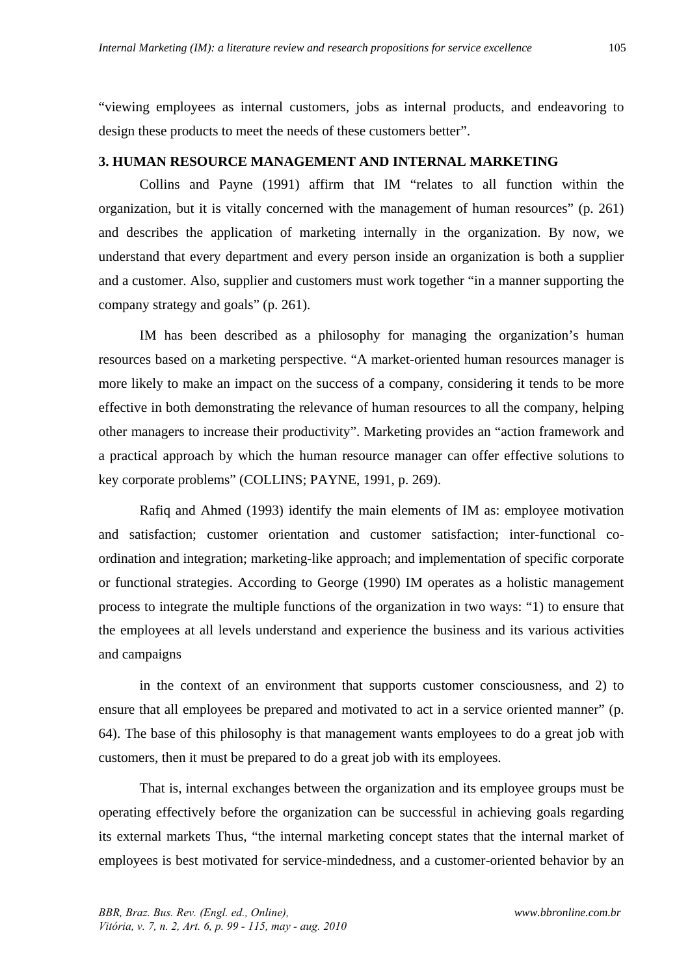"viewing employees as internal customers, jobs as internal products, and endeavoring to design these products to meet the needs of these customers better".

# **3. HUMAN RESOURCE MANAGEMENT AND INTERNAL MARKETING**

Collins and Payne (1991) affirm that IM "relates to all function within the organization, but it is vitally concerned with the management of human resources" (p. 261) and describes the application of marketing internally in the organization. By now, we understand that every department and every person inside an organization is both a supplier and a customer. Also, supplier and customers must work together "in a manner supporting the company strategy and goals" (p. 261).

IM has been described as a philosophy for managing the organization's human resources based on a marketing perspective. "A market-oriented human resources manager is more likely to make an impact on the success of a company, considering it tends to be more effective in both demonstrating the relevance of human resources to all the company, helping other managers to increase their productivity". Marketing provides an "action framework and a practical approach by which the human resource manager can offer effective solutions to key corporate problems" (COLLINS; PAYNE, 1991, p. 269).

Rafiq and Ahmed (1993) identify the main elements of IM as: employee motivation and satisfaction; customer orientation and customer satisfaction; inter-functional coordination and integration; marketing-like approach; and implementation of specific corporate or functional strategies. According to George (1990) IM operates as a holistic management process to integrate the multiple functions of the organization in two ways: "1) to ensure that the employees at all levels understand and experience the business and its various activities and campaigns

in the context of an environment that supports customer consciousness, and 2) to ensure that all employees be prepared and motivated to act in a service oriented manner" (p. 64). The base of this philosophy is that management wants employees to do a great job with customers, then it must be prepared to do a great job with its employees.

That is, internal exchanges between the organization and its employee groups must be operating effectively before the organization can be successful in achieving goals regarding its external markets Thus, "the internal marketing concept states that the internal market of employees is best motivated for service-mindedness, and a customer-oriented behavior by an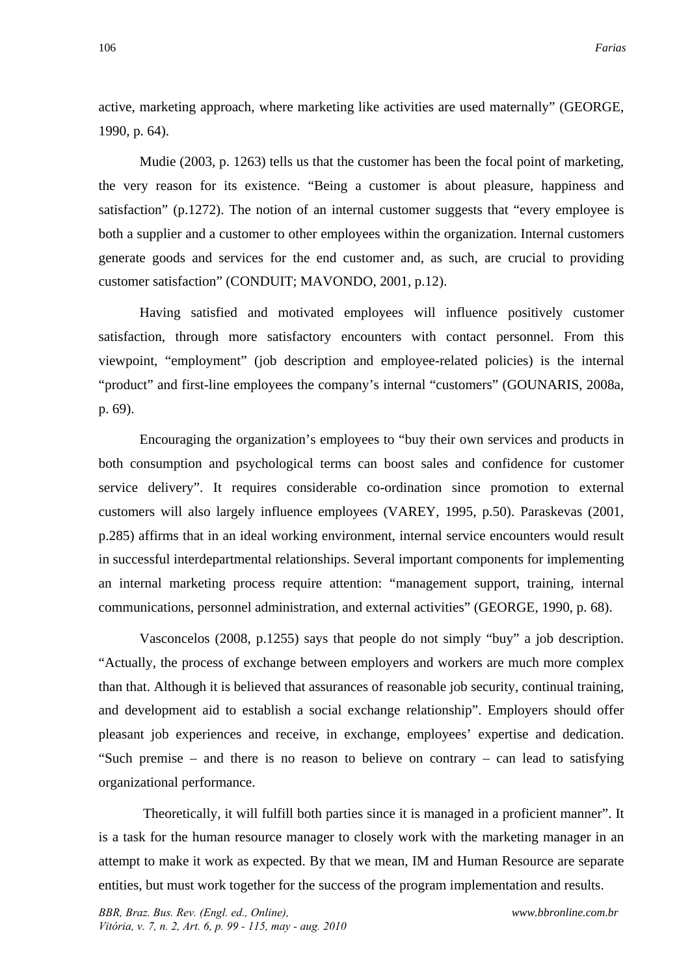active, marketing approach, where marketing like activities are used maternally" (GEORGE, 1990, p. 64).

Mudie (2003, p. 1263) tells us that the customer has been the focal point of marketing, the very reason for its existence. "Being a customer is about pleasure, happiness and satisfaction" (p.1272). The notion of an internal customer suggests that "every employee is both a supplier and a customer to other employees within the organization. Internal customers generate goods and services for the end customer and, as such, are crucial to providing customer satisfaction" (CONDUIT; MAVONDO, 2001, p.12).

Having satisfied and motivated employees will influence positively customer satisfaction, through more satisfactory encounters with contact personnel. From this viewpoint, "employment" (job description and employee-related policies) is the internal "product" and first-line employees the company's internal "customers" (GOUNARIS, 2008a, p. 69).

Encouraging the organization's employees to "buy their own services and products in both consumption and psychological terms can boost sales and confidence for customer service delivery". It requires considerable co-ordination since promotion to external customers will also largely influence employees (VAREY, 1995, p.50). Paraskevas (2001, p.285) affirms that in an ideal working environment, internal service encounters would result in successful interdepartmental relationships. Several important components for implementing an internal marketing process require attention: "management support, training, internal communications, personnel administration, and external activities" (GEORGE, 1990, p. 68).

Vasconcelos (2008, p.1255) says that people do not simply "buy" a job description. "Actually, the process of exchange between employers and workers are much more complex than that. Although it is believed that assurances of reasonable job security, continual training, and development aid to establish a social exchange relationship". Employers should offer pleasant job experiences and receive, in exchange, employees' expertise and dedication. "Such premise – and there is no reason to believe on contrary – can lead to satisfying organizational performance.

 Theoretically, it will fulfill both parties since it is managed in a proficient manner". It is a task for the human resource manager to closely work with the marketing manager in an attempt to make it work as expected. By that we mean, IM and Human Resource are separate entities, but must work together for the success of the program implementation and results.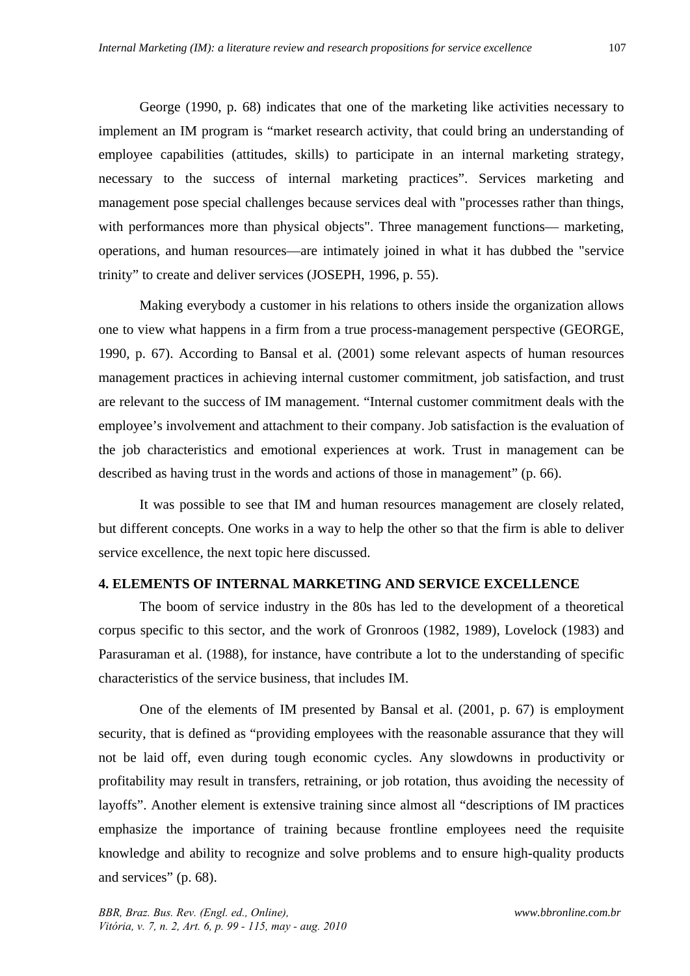George (1990, p. 68) indicates that one of the marketing like activities necessary to implement an IM program is "market research activity, that could bring an understanding of employee capabilities (attitudes, skills) to participate in an internal marketing strategy, necessary to the success of internal marketing practices". Services marketing and management pose special challenges because services deal with "processes rather than things, with performances more than physical objects". Three management functions— marketing, operations, and human resources—are intimately joined in what it has dubbed the "service trinity" to create and deliver services (JOSEPH, 1996, p. 55).

Making everybody a customer in his relations to others inside the organization allows one to view what happens in a firm from a true process-management perspective (GEORGE, 1990, p. 67). According to Bansal et al. (2001) some relevant aspects of human resources management practices in achieving internal customer commitment, job satisfaction, and trust are relevant to the success of IM management. "Internal customer commitment deals with the employee's involvement and attachment to their company. Job satisfaction is the evaluation of the job characteristics and emotional experiences at work. Trust in management can be described as having trust in the words and actions of those in management" (p. 66).

It was possible to see that IM and human resources management are closely related, but different concepts. One works in a way to help the other so that the firm is able to deliver service excellence, the next topic here discussed.

## **4. ELEMENTS OF INTERNAL MARKETING AND SERVICE EXCELLENCE**

The boom of service industry in the 80s has led to the development of a theoretical corpus specific to this sector, and the work of Gronroos (1982, 1989), Lovelock (1983) and Parasuraman et al. (1988), for instance, have contribute a lot to the understanding of specific characteristics of the service business, that includes IM.

One of the elements of IM presented by Bansal et al. (2001, p. 67) is employment security, that is defined as "providing employees with the reasonable assurance that they will not be laid off, even during tough economic cycles. Any slowdowns in productivity or profitability may result in transfers, retraining, or job rotation, thus avoiding the necessity of layoffs". Another element is extensive training since almost all "descriptions of IM practices emphasize the importance of training because frontline employees need the requisite knowledge and ability to recognize and solve problems and to ensure high-quality products and services" (p. 68).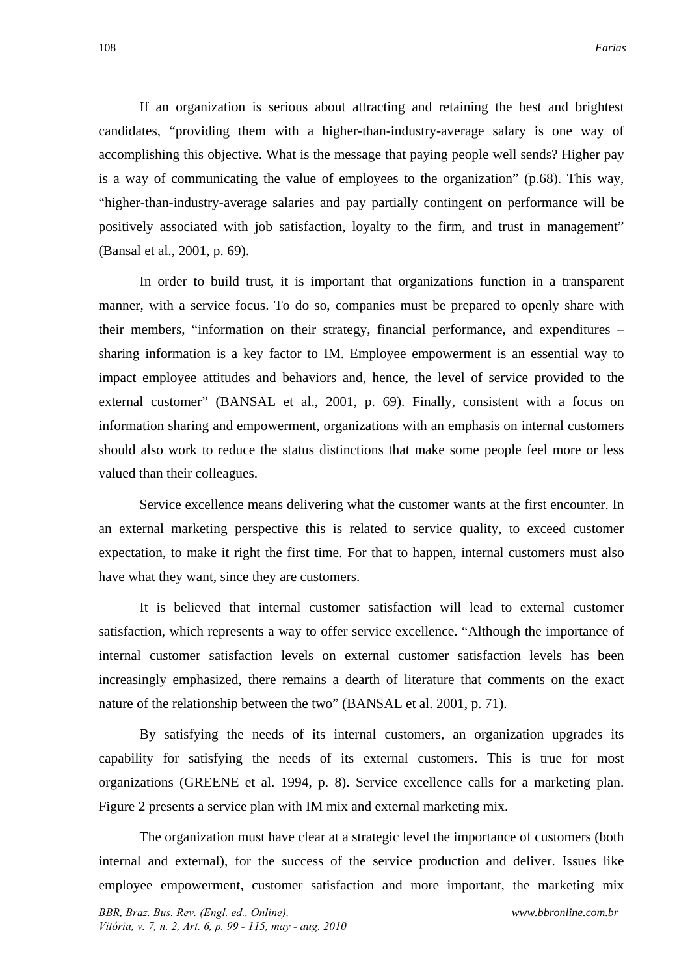If an organization is serious about attracting and retaining the best and brightest candidates, "providing them with a higher-than-industry-average salary is one way of accomplishing this objective. What is the message that paying people well sends? Higher pay is a way of communicating the value of employees to the organization" (p.68). This way, "higher-than-industry-average salaries and pay partially contingent on performance will be positively associated with job satisfaction, loyalty to the firm, and trust in management" (Bansal et al., 2001, p. 69).

In order to build trust, it is important that organizations function in a transparent manner, with a service focus. To do so, companies must be prepared to openly share with their members, "information on their strategy, financial performance, and expenditures – sharing information is a key factor to IM. Employee empowerment is an essential way to impact employee attitudes and behaviors and, hence, the level of service provided to the external customer" (BANSAL et al., 2001, p. 69). Finally, consistent with a focus on information sharing and empowerment, organizations with an emphasis on internal customers should also work to reduce the status distinctions that make some people feel more or less valued than their colleagues.

Service excellence means delivering what the customer wants at the first encounter. In an external marketing perspective this is related to service quality, to exceed customer expectation, to make it right the first time. For that to happen, internal customers must also have what they want, since they are customers.

It is believed that internal customer satisfaction will lead to external customer satisfaction, which represents a way to offer service excellence. "Although the importance of internal customer satisfaction levels on external customer satisfaction levels has been increasingly emphasized, there remains a dearth of literature that comments on the exact nature of the relationship between the two" (BANSAL et al. 2001, p. 71).

By satisfying the needs of its internal customers, an organization upgrades its capability for satisfying the needs of its external customers. This is true for most organizations (GREENE et al. 1994, p. 8). Service excellence calls for a marketing plan. Figure 2 presents a service plan with IM mix and external marketing mix.

The organization must have clear at a strategic level the importance of customers (both internal and external), for the success of the service production and deliver. Issues like employee empowerment, customer satisfaction and more important, the marketing mix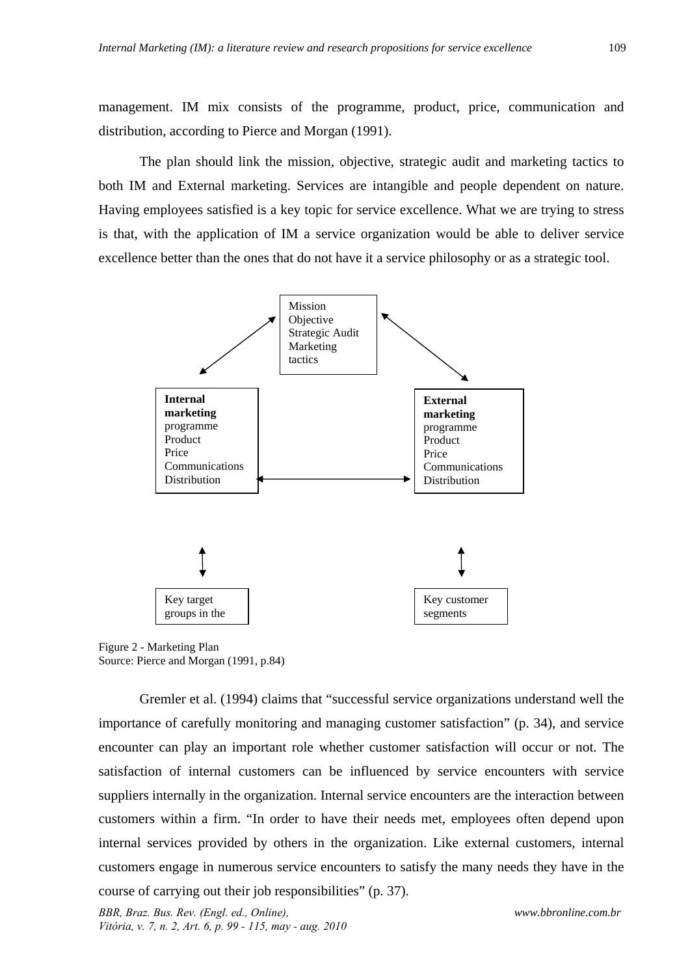management. IM mix consists of the programme, product, price, communication and distribution, according to Pierce and Morgan (1991).

The plan should link the mission, objective, strategic audit and marketing tactics to both IM and External marketing. Services are intangible and people dependent on nature. Having employees satisfied is a key topic for service excellence. What we are trying to stress is that, with the application of IM a service organization would be able to deliver service excellence better than the ones that do not have it a service philosophy or as a strategic tool.



Figure 2 - Marketing Plan Source: Pierce and Morgan (1991, p.84)

Gremler et al. (1994) claims that "successful service organizations understand well the importance of carefully monitoring and managing customer satisfaction" (p. 34), and service encounter can play an important role whether customer satisfaction will occur or not. The satisfaction of internal customers can be influenced by service encounters with service suppliers internally in the organization. Internal service encounters are the interaction between customers within a firm. "In order to have their needs met, employees often depend upon internal services provided by others in the organization. Like external customers, internal customers engage in numerous service encounters to satisfy the many needs they have in the course of carrying out their job responsibilities" (p. 37).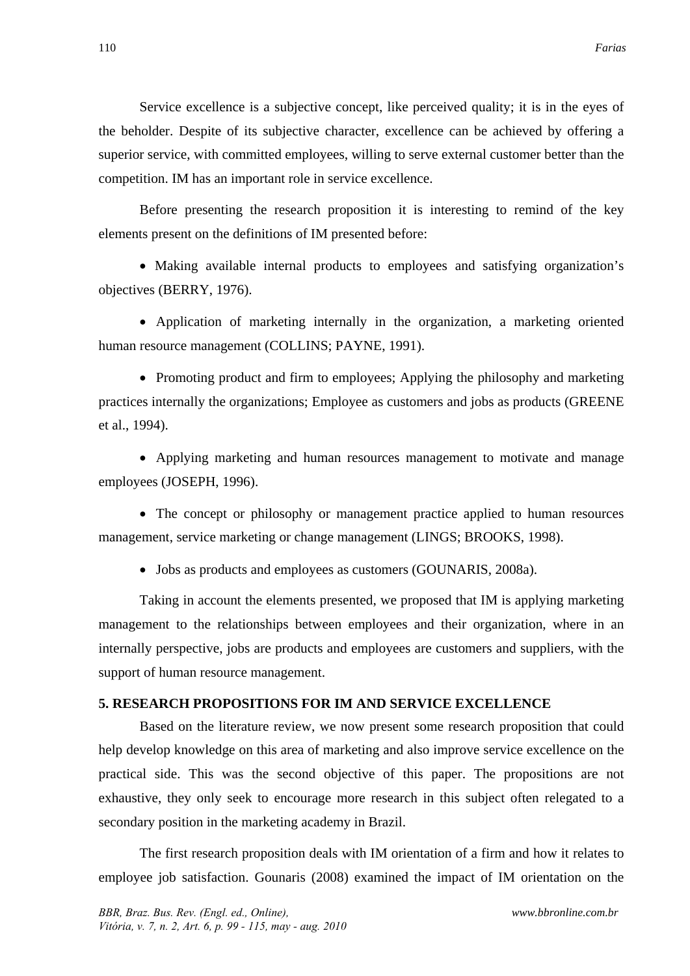Service excellence is a subjective concept, like perceived quality; it is in the eyes of the beholder. Despite of its subjective character, excellence can be achieved by offering a superior service, with committed employees, willing to serve external customer better than the competition. IM has an important role in service excellence.

Before presenting the research proposition it is interesting to remind of the key elements present on the definitions of IM presented before:

 Making available internal products to employees and satisfying organization's objectives (BERRY, 1976).

 Application of marketing internally in the organization, a marketing oriented human resource management (COLLINS; PAYNE, 1991).

• Promoting product and firm to employees; Applying the philosophy and marketing practices internally the organizations; Employee as customers and jobs as products (GREENE et al., 1994).

 Applying marketing and human resources management to motivate and manage employees (JOSEPH, 1996).

• The concept or philosophy or management practice applied to human resources management, service marketing or change management (LINGS; BROOKS, 1998).

• Jobs as products and employees as customers (GOUNARIS, 2008a).

Taking in account the elements presented, we proposed that IM is applying marketing management to the relationships between employees and their organization, where in an internally perspective, jobs are products and employees are customers and suppliers, with the support of human resource management.

### **5. RESEARCH PROPOSITIONS FOR IM AND SERVICE EXCELLENCE**

Based on the literature review, we now present some research proposition that could help develop knowledge on this area of marketing and also improve service excellence on the practical side. This was the second objective of this paper. The propositions are not exhaustive, they only seek to encourage more research in this subject often relegated to a secondary position in the marketing academy in Brazil.

The first research proposition deals with IM orientation of a firm and how it relates to employee job satisfaction. Gounaris (2008) examined the impact of IM orientation on the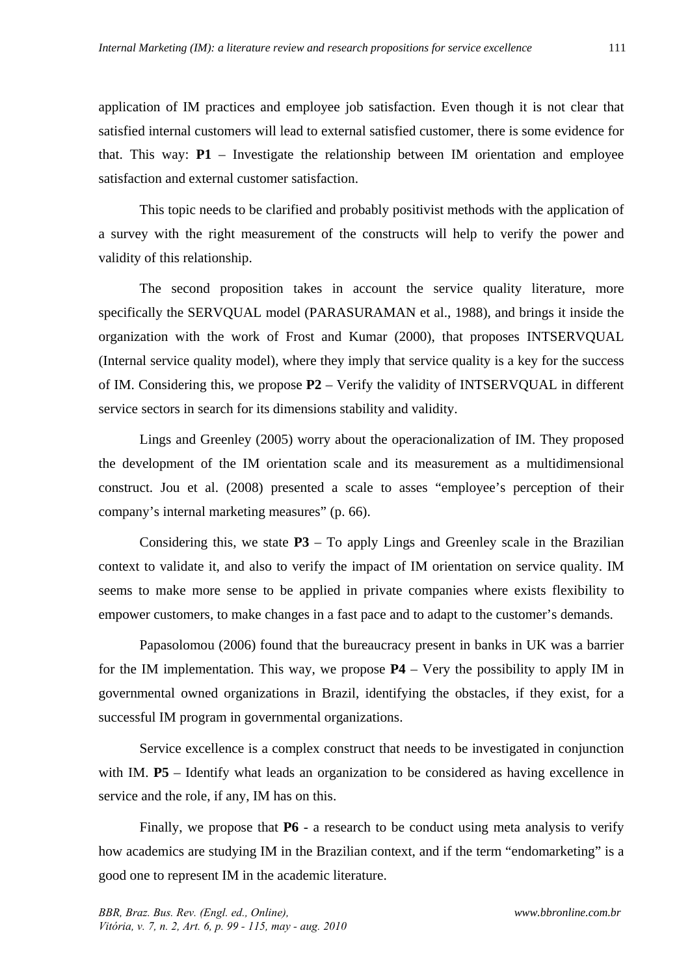application of IM practices and employee job satisfaction. Even though it is not clear that satisfied internal customers will lead to external satisfied customer, there is some evidence for that. This way:  $P1$  – Investigate the relationship between IM orientation and employee satisfaction and external customer satisfaction.

This topic needs to be clarified and probably positivist methods with the application of a survey with the right measurement of the constructs will help to verify the power and validity of this relationship.

The second proposition takes in account the service quality literature, more specifically the SERVQUAL model (PARASURAMAN et al., 1988), and brings it inside the organization with the work of Frost and Kumar (2000), that proposes INTSERVQUAL (Internal service quality model), where they imply that service quality is a key for the success of IM. Considering this, we propose **P2** – Verify the validity of INTSERVQUAL in different service sectors in search for its dimensions stability and validity.

Lings and Greenley (2005) worry about the operacionalization of IM. They proposed the development of the IM orientation scale and its measurement as a multidimensional construct. Jou et al. (2008) presented a scale to asses "employee's perception of their company's internal marketing measures" (p. 66).

Considering this, we state **P3** – To apply Lings and Greenley scale in the Brazilian context to validate it, and also to verify the impact of IM orientation on service quality. IM seems to make more sense to be applied in private companies where exists flexibility to empower customers, to make changes in a fast pace and to adapt to the customer's demands.

Papasolomou (2006) found that the bureaucracy present in banks in UK was a barrier for the IM implementation. This way, we propose **P4** – Very the possibility to apply IM in governmental owned organizations in Brazil, identifying the obstacles, if they exist, for a successful IM program in governmental organizations.

Service excellence is a complex construct that needs to be investigated in conjunction with IM. **P5** – Identify what leads an organization to be considered as having excellence in service and the role, if any, IM has on this.

Finally, we propose that **P6** - a research to be conduct using meta analysis to verify how academics are studying IM in the Brazilian context, and if the term "endomarketing" is a good one to represent IM in the academic literature.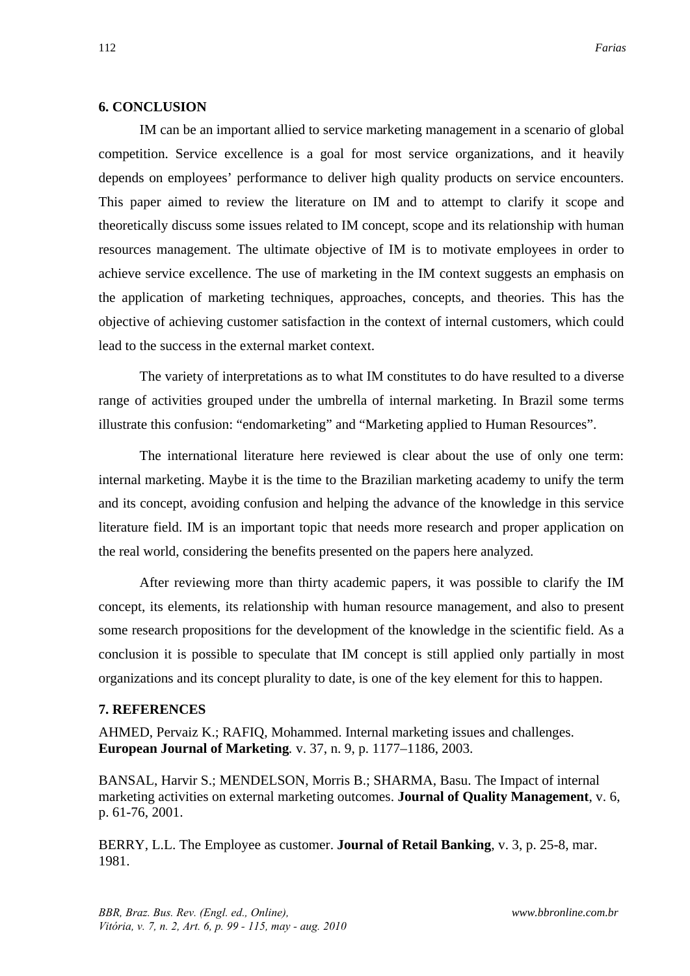### **6. CONCLUSION**

IM can be an important allied to service marketing management in a scenario of global competition. Service excellence is a goal for most service organizations, and it heavily depends on employees' performance to deliver high quality products on service encounters. This paper aimed to review the literature on IM and to attempt to clarify it scope and theoretically discuss some issues related to IM concept, scope and its relationship with human resources management. The ultimate objective of IM is to motivate employees in order to achieve service excellence. The use of marketing in the IM context suggests an emphasis on the application of marketing techniques, approaches, concepts, and theories. This has the objective of achieving customer satisfaction in the context of internal customers, which could lead to the success in the external market context.

The variety of interpretations as to what IM constitutes to do have resulted to a diverse range of activities grouped under the umbrella of internal marketing. In Brazil some terms illustrate this confusion: "endomarketing" and "Marketing applied to Human Resources".

The international literature here reviewed is clear about the use of only one term: internal marketing. Maybe it is the time to the Brazilian marketing academy to unify the term and its concept, avoiding confusion and helping the advance of the knowledge in this service literature field. IM is an important topic that needs more research and proper application on the real world, considering the benefits presented on the papers here analyzed.

After reviewing more than thirty academic papers, it was possible to clarify the IM concept, its elements, its relationship with human resource management, and also to present some research propositions for the development of the knowledge in the scientific field. As a conclusion it is possible to speculate that IM concept is still applied only partially in most organizations and its concept plurality to date, is one of the key element for this to happen.

#### **7. REFERENCES**

AHMED, Pervaiz K.; RAFIQ, Mohammed. Internal marketing issues and challenges. **European Journal of Marketing***.* v. 37, n. 9, p. 1177–1186, 2003.

BANSAL, Harvir S.; MENDELSON, Morris B.; SHARMA, Basu. The Impact of internal marketing activities on external marketing outcomes. **Journal of Quality Management**, v. 6, p. 61-76, 2001.

BERRY, L.L. The Employee as customer. **Journal of Retail Banking**, v. 3, p. 25-8, mar. 1981.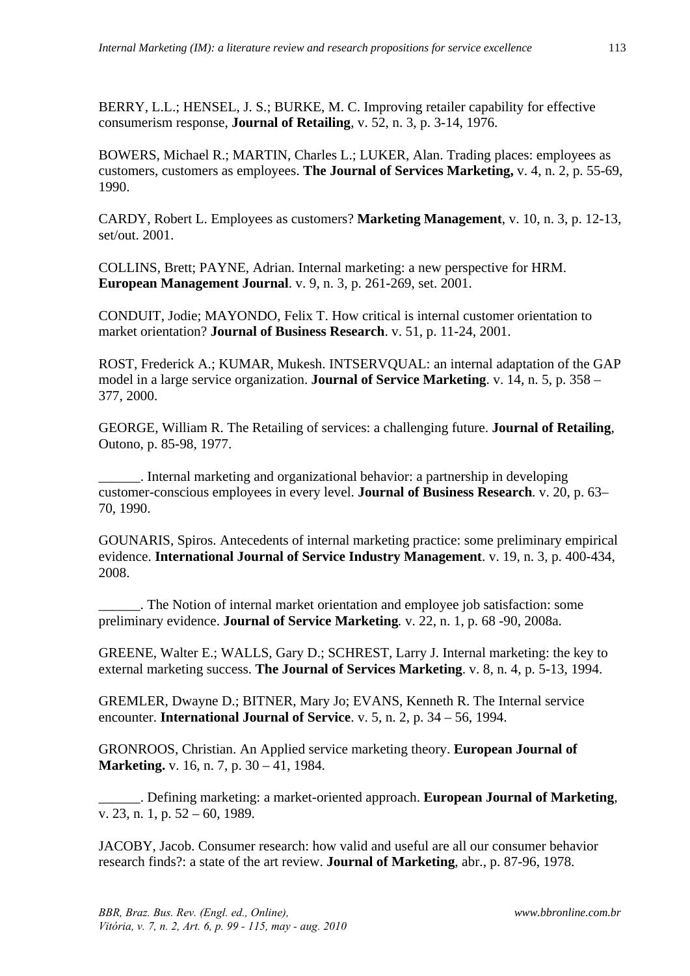BERRY, L.L.; HENSEL, J. S.; BURKE, M. C. Improving retailer capability for effective consumerism response, **Journal of Retailing**, v. 52, n. 3, p. 3-14, 1976.

BOWERS, Michael R.; MARTIN, Charles L.; LUKER, Alan. Trading places: employees as customers, customers as employees. **The Journal of Services Marketing,** v. 4, n. 2, p. 55-69, 1990.

CARDY, Robert L. Employees as customers? **Marketing Management**, v. 10, n. 3, p. 12-13, set/out. 2001.

COLLINS, Brett; PAYNE, Adrian. Internal marketing: a new perspective for HRM. **European Management Journal**. v. 9, n. 3, p. 261-269, set. 2001.

CONDUIT, Jodie; MAYONDO, Felix T. How critical is internal customer orientation to market orientation? **Journal of Business Research**. v. 51, p. 11-24, 2001.

ROST, Frederick A.; KUMAR, Mukesh. INTSERVQUAL: an internal adaptation of the GAP model in a large service organization. **Journal of Service Marketing**. v. 14, n. 5, p. 358 – 377, 2000.

GEORGE, William R. The Retailing of services: a challenging future. **Journal of Retailing**, Outono, p. 85-98, 1977.

\_\_\_\_\_\_. Internal marketing and organizational behavior: a partnership in developing customer-conscious employees in every level. **Journal of Business Research**. v. 20, p. 63– 70, 1990.

GOUNARIS, Spiros. Antecedents of internal marketing practice: some preliminary empirical evidence. **International Journal of Service Industry Management**. v. 19, n. 3, p. 400-434, 2008.

\_\_\_\_\_\_. The Notion of internal market orientation and employee job satisfaction: some preliminary evidence. **Journal of Service Marketing***.* v. 22, n. 1, p. 68 -90, 2008a.

GREENE, Walter E.; WALLS, Gary D.; SCHREST, Larry J. Internal marketing: the key to external marketing success. **The Journal of Services Marketing**. v. 8, n. 4, p. 5-13, 1994.

GREMLER, Dwayne D.; BITNER, Mary Jo; EVANS, Kenneth R. The Internal service encounter. **International Journal of Service**. v. 5, n. 2, p. 34 – 56, 1994.

GRONROOS, Christian. An Applied service marketing theory. **European Journal of Marketing.** v. 16, n. 7, p. 30 – 41, 1984.

\_\_\_\_\_\_. Defining marketing: a market-oriented approach. **European Journal of Marketing**, v. 23, n. 1, p. 52 – 60, 1989.

JACOBY, Jacob. Consumer research: how valid and useful are all our consumer behavior research finds?: a state of the art review. **Journal of Marketing**, abr., p. 87-96, 1978.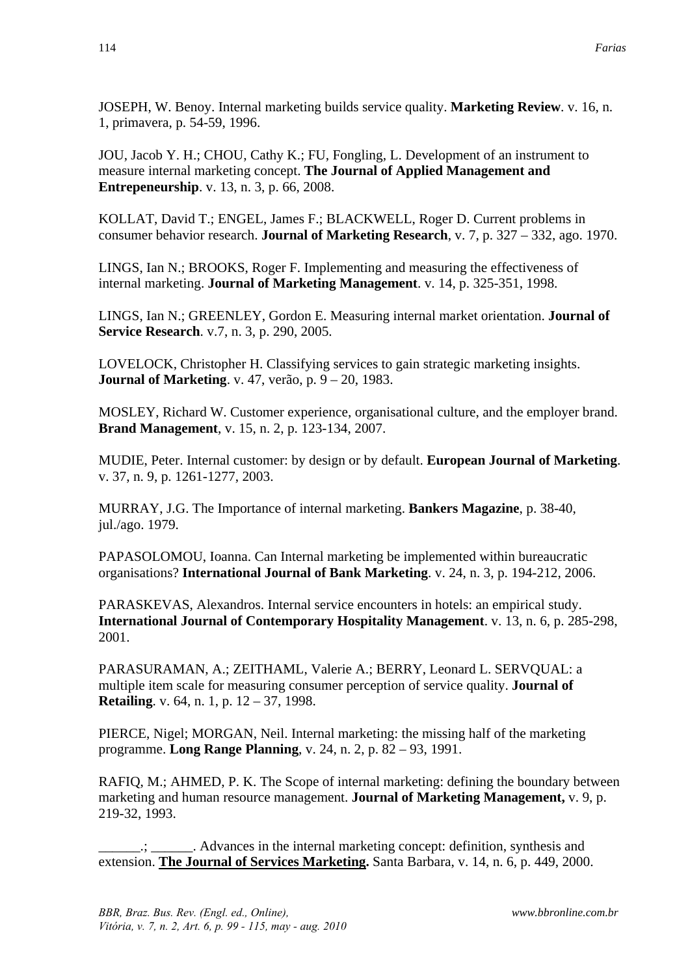JOSEPH, W. Benoy. Internal marketing builds service quality. **Marketing Review**. v. 16, n. 1, primavera, p. 54-59, 1996.

JOU, Jacob Y. H.; CHOU, Cathy K.; FU, Fongling, L. Development of an instrument to measure internal marketing concept. **The Journal of Applied Management and Entrepeneurship**. v. 13, n. 3, p. 66, 2008.

KOLLAT, David T.; ENGEL, James F.; BLACKWELL, Roger D. Current problems in consumer behavior research. **Journal of Marketing Research**, v. 7, p. 327 – 332, ago. 1970.

LINGS, Ian N.; BROOKS, Roger F. Implementing and measuring the effectiveness of internal marketing. **Journal of Marketing Management**. v. 14, p. 325-351, 1998.

LINGS, Ian N.; GREENLEY, Gordon E. Measuring internal market orientation. **Journal of Service Research**. v.7, n. 3, p. 290, 2005.

LOVELOCK, Christopher H. Classifying services to gain strategic marketing insights. **Journal of Marketing**. v. 47, verão, p. 9 – 20, 1983.

MOSLEY, Richard W. Customer experience, organisational culture, and the employer brand. **Brand Management**, v. 15, n. 2, p. 123-134, 2007.

MUDIE, Peter. Internal customer: by design or by default. **European Journal of Marketing**. v. 37, n. 9, p. 1261-1277, 2003.

MURRAY, J.G. The Importance of internal marketing. **Bankers Magazine**, p. 38-40, jul./ago. 1979.

PAPASOLOMOU, Ioanna. Can Internal marketing be implemented within bureaucratic organisations? **International Journal of Bank Marketing**. v. 24, n. 3, p. 194-212, 2006.

PARASKEVAS, Alexandros. Internal service encounters in hotels: an empirical study. **International Journal of Contemporary Hospitality Management**. v. 13, n. 6, p. 285-298, 2001.

PARASURAMAN, A.; ZEITHAML, Valerie A.; BERRY, Leonard L. SERVQUAL: a multiple item scale for measuring consumer perception of service quality. **Journal of Retailing**. v. 64, n. 1, p. 12 – 37, 1998.

PIERCE, Nigel; MORGAN, Neil. Internal marketing: the missing half of the marketing programme. **Long Range Planning**, v. 24, n. 2, p. 82 – 93, 1991.

RAFIQ, M.; AHMED, P. K. The Scope of internal marketing: defining the boundary between marketing and human resource management. **Journal of Marketing Management,** v. 9, p. 219-32, 1993.

\_\_\_\_\_\_.; \_\_\_\_\_\_. Advances in the internal marketing concept: definition, synthesis and extension. **The Journal of Services Marketing.** Santa Barbara, v. 14, n. 6, p. 449, 2000.